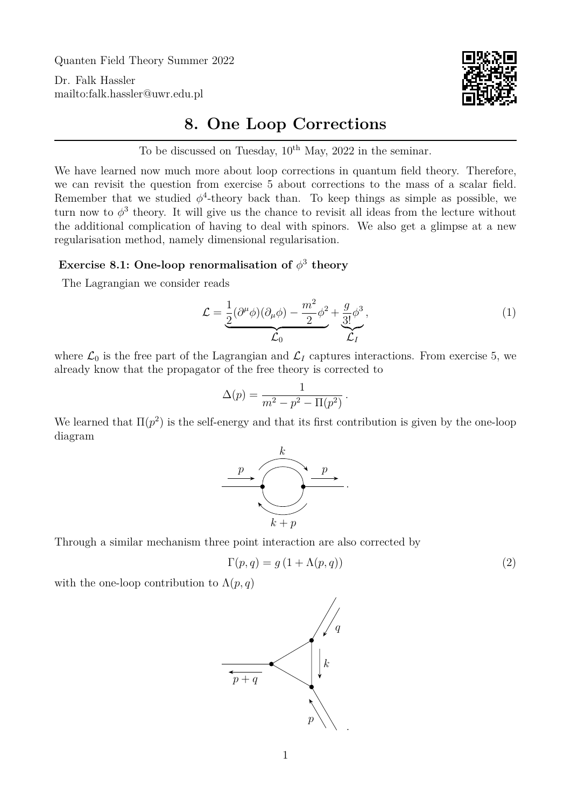Quanten Field Theory Summer 2022

Dr. Falk Hassler <mailto:falk.hassler@uwr.edu.pl>



## **8. One Loop Corrections**

To be discussed on Tuesday,  $10^{th}$  May,  $2022$  in the seminar.

We have learned now much more about loop corrections in quantum field theory. Therefore, we can revisit the question from exercise 5 about corrections to the mass of a scalar field. Remember that we studied  $\phi^4$ -theory back than. To keep things as simple as possible, we turn now to  $\phi^3$  theory. It will give us the chance to revisit all ideas from the lecture without the additional complication of having to deal with spinors. We also get a glimpse at a new regularisation method, namely dimensional regularisation.

## Exercise 8.1: One-loop renormalisation of  $\phi^3$  theory

The Lagrangian we consider reads

<span id="page-0-0"></span>
$$
\mathcal{L} = \underbrace{\frac{1}{2} (\partial^{\mu} \phi)(\partial_{\mu} \phi) - \frac{m^2}{2} \phi^2}_{\mathcal{L}_0} + \underbrace{\frac{g}{3!} \phi^3}_{\mathcal{L}_I},
$$
\n(1)

where  $\mathcal{L}_0$  is the free part of the Lagrangian and  $\mathcal{L}_I$  captures interactions. From exercise 5, we already know that the propagator of the free theory is corrected to

$$
\Delta(p) = \frac{1}{m^2 - p^2 - \Pi(p^2)}.
$$

We learned that  $\Pi(p^2)$  is the self-energy and that its first contribution is given by the one-loop diagram



Through a similar mechanism three point interaction are also corrected by

<span id="page-0-1"></span>
$$
\Gamma(p,q) = g\left(1 + \Lambda(p,q)\right) \tag{2}
$$

with the one-loop contribution to  $\Lambda(p,q)$ 

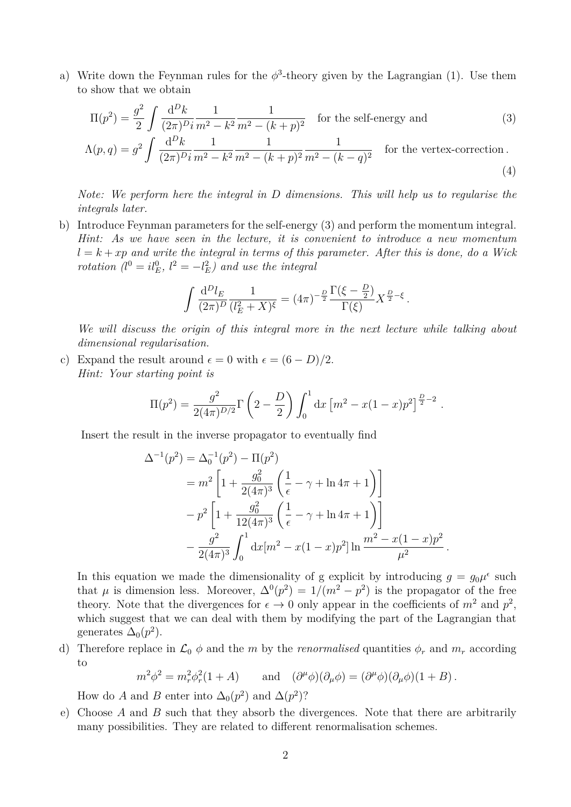a) Write down the Feynman rules for the  $\phi^3$ -theory given by the Lagrangian [\(1\)](#page-0-0). Use them to show that we obtain

$$
\Pi(p^2) = \frac{g^2}{2} \int \frac{d^D k}{(2\pi)^D i} \frac{1}{m^2 - k^2} \frac{1}{m^2 - (k+p)^2}
$$
 for the self-energy and (3)

$$
\Lambda(p,q) = g^2 \int \frac{d^D k}{(2\pi)^{D} i} \frac{1}{m^2 - k^2} \frac{1}{m^2 - (k+p)^2} \frac{1}{m^2 - (k-q)^2} \quad \text{for the vertex-correction.}
$$
\n(4)

*Note: We perform here the integral in* D *dimensions. This will help us to regularise the integrals later.*

b) Introduce Feynman parameters for the self-energy [\(3\)](#page-1-0) and perform the momentum integral. *Hint: As we have seen in the lecture, it is convenient to introduce a new momentum*  $l = k + xp$  and write the integral in terms of this parameter. After this is done, do a Wick *rotation*  $(l^0 = il_E^0, l^2 = -l_E^2)$  *and use the integral* 

<span id="page-1-1"></span><span id="page-1-0"></span>
$$
\int \frac{d^D l_E}{(2\pi)^D} \frac{1}{(l_E^2 + X)^{\xi}} = (4\pi)^{-\frac{D}{2}} \frac{\Gamma(\xi - \frac{D}{2})}{\Gamma(\xi)} X^{\frac{D}{2} - \xi}.
$$

*We will discuss the origin of this integral more in the next lecture while talking about dimensional regularisation.*

c) Expand the result around  $\epsilon = 0$  with  $\epsilon = (6 - D)/2$ . *Hint: Your starting point is*

$$
\Pi(p^2) = \frac{g^2}{2(4\pi)^{D/2}} \Gamma\left(2 - \frac{D}{2}\right) \int_0^1 dx \left[m^2 - x(1-x)p^2\right]^{\frac{D}{2} - 2}.
$$

Insert the result in the inverse propagator to eventually find

$$
\Delta^{-1}(p^2) = \Delta_0^{-1}(p^2) - \Pi(p^2)
$$
  
=  $m^2 \left[ 1 + \frac{g_0^2}{2(4\pi)^3} \left( \frac{1}{\epsilon} - \gamma + \ln 4\pi + 1 \right) \right]$   
 $- p^2 \left[ 1 + \frac{g_0^2}{12(4\pi)^3} \left( \frac{1}{\epsilon} - \gamma + \ln 4\pi + 1 \right) \right]$   
 $- \frac{g^2}{2(4\pi)^3} \int_0^1 dx [m^2 - x(1-x)p^2] \ln \frac{m^2 - x(1-x)p^2}{\mu^2}.$ 

In this equation we made the dimensionality of g explicit by introducing  $g = g_0 \mu^{\epsilon}$  such that  $\mu$  is dimension less. Moreover,  $\Delta^{0}(p^{2}) = 1/(m^{2} - p^{2})$  is the propagator of the free theory. Note that the divergences for  $\epsilon \to 0$  only appear in the coefficients of  $m^2$  and  $p^2$ , which suggest that we can deal with them by modifying the part of the Lagrangian that generates  $\Delta_0(p^2)$ .

d) Therefore replace in  $\mathcal{L}_0 \phi$  and the m by the *renormalised* quantities  $\phi_r$  and  $m_r$  according to

$$
m^2\phi^2 = m_r^2\phi_r^2(1+A)
$$
 and  $(\partial^\mu \phi)(\partial_\mu \phi) = (\partial^\mu \phi)(\partial_\mu \phi)(1+B)$ .

How do A and B enter into  $\Delta_0(p^2)$  and  $\Delta(p^2)$ ?

e) Choose  $A$  and  $B$  such that they absorb the divergences. Note that there are arbitrarily many possibilities. They are related to different renormalisation schemes.